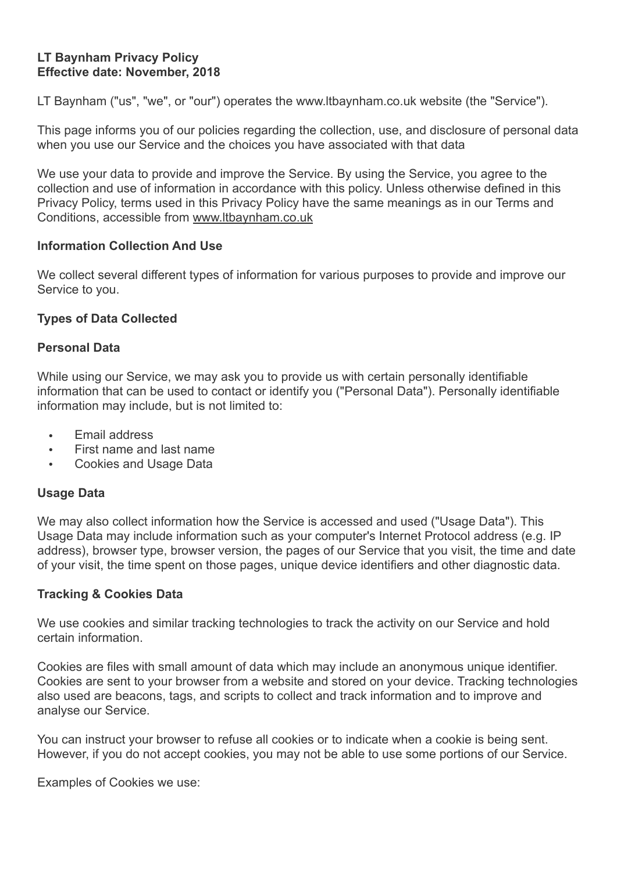### **LT Baynham Privacy Policy Effective date: November, 2018**

LT Baynham ("us", "we", or "our") operates the www.ltbaynham.co.uk website (the "Service").

This page informs you of our policies regarding the collection, use, and disclosure of personal data when you use our Service and the choices you have associated with that data

We use your data to provide and improve the Service. By using the Service, you agree to the collection and use of information in accordance with this policy. Unless otherwise defined in this Privacy Policy, terms used in this Privacy Policy have the same meanings as in our Terms and Conditions, accessible from [www.ltbaynham.co.uk](http://www.ltbaynham.co.uk)

### **Information Collection And Use**

We collect several different types of information for various purposes to provide and improve our Service to you.

### **Types of Data Collected**

### **Personal Data**

While using our Service, we may ask you to provide us with certain personally identifiable information that can be used to contact or identify you ("Personal Data"). Personally identifiable information may include, but is not limited to:

- Email address
- First name and last name
- Cookies and Usage Data

### **Usage Data**

We may also collect information how the Service is accessed and used ("Usage Data"). This Usage Data may include information such as your computer's Internet Protocol address (e.g. IP address), browser type, browser version, the pages of our Service that you visit, the time and date of your visit, the time spent on those pages, unique device identifiers and other diagnostic data.

### **Tracking & Cookies Data**

We use cookies and similar tracking technologies to track the activity on our Service and hold certain information.

Cookies are files with small amount of data which may include an anonymous unique identifier. Cookies are sent to your browser from a website and stored on your device. Tracking technologies also used are beacons, tags, and scripts to collect and track information and to improve and analyse our Service.

You can instruct your browser to refuse all cookies or to indicate when a cookie is being sent. However, if you do not accept cookies, you may not be able to use some portions of our Service.

Examples of Cookies we use: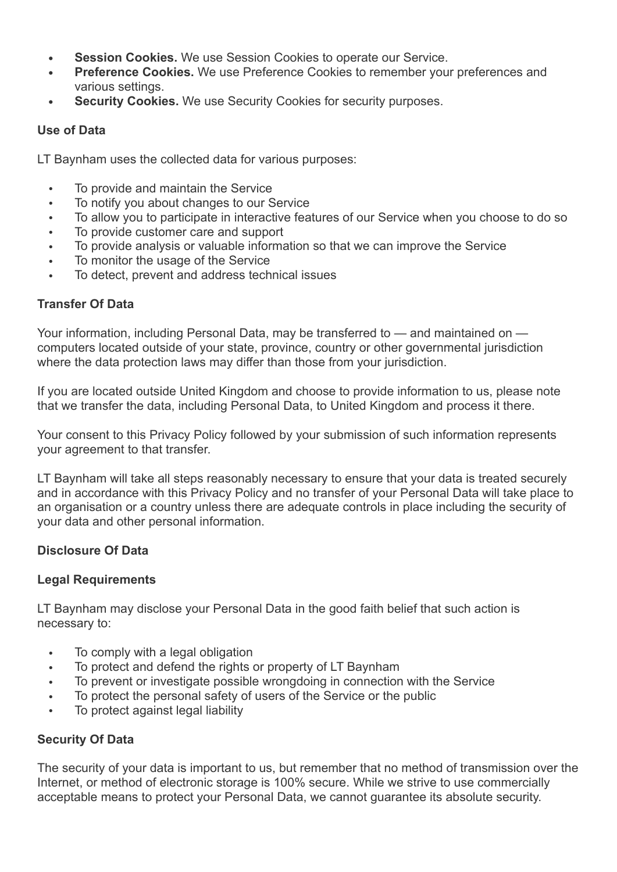- **• Session Cookies.** We use Session Cookies to operate our Service.
- **• Preference Cookies.** We use Preference Cookies to remember your preferences and various settings.
- **• Security Cookies.** We use Security Cookies for security purposes.

## **Use of Data**

LT Baynham uses the collected data for various purposes:

- To provide and maintain the Service
- To notify you about changes to our Service
- To allow you to participate in interactive features of our Service when you choose to do so
- To provide customer care and support
- To provide analysis or valuable information so that we can improve the Service
- To monitor the usage of the Service
- To detect, prevent and address technical issues

# **Transfer Of Data**

Your information, including Personal Data, may be transferred to — and maintained on computers located outside of your state, province, country or other governmental jurisdiction where the data protection laws may differ than those from your jurisdiction.

If you are located outside United Kingdom and choose to provide information to us, please note that we transfer the data, including Personal Data, to United Kingdom and process it there.

Your consent to this Privacy Policy followed by your submission of such information represents your agreement to that transfer.

LT Baynham will take all steps reasonably necessary to ensure that your data is treated securely and in accordance with this Privacy Policy and no transfer of your Personal Data will take place to an organisation or a country unless there are adequate controls in place including the security of your data and other personal information.

# **Disclosure Of Data**

# **Legal Requirements**

LT Baynham may disclose your Personal Data in the good faith belief that such action is necessary to:

- To comply with a legal obligation
- To protect and defend the rights or property of LT Baynham
- To prevent or investigate possible wrongdoing in connection with the Service
- To protect the personal safety of users of the Service or the public
- To protect against legal liability

# **Security Of Data**

The security of your data is important to us, but remember that no method of transmission over the Internet, or method of electronic storage is 100% secure. While we strive to use commercially acceptable means to protect your Personal Data, we cannot guarantee its absolute security.